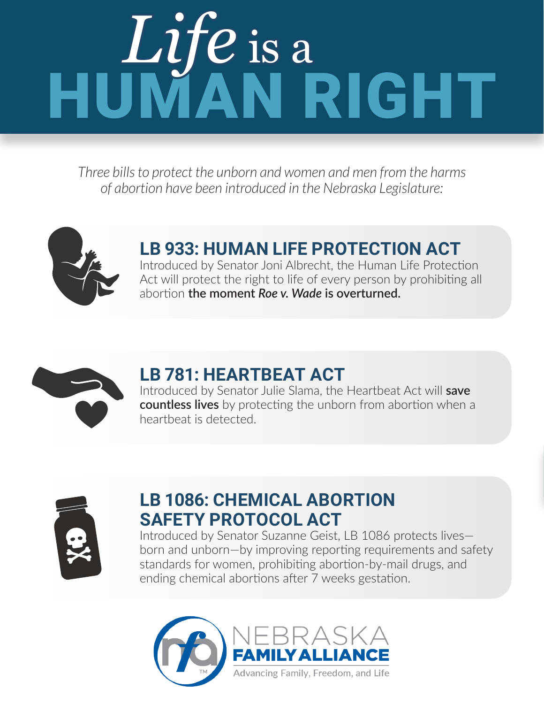# HUMAN RIGHT *Life* is a

*Three bills to protect the unborn and women and men from the harms of abortion have been introduced in the Nebraska Legislature:*



### **LB 933: HUMAN LIFE PROTECTION ACT** Introduced by Senator Joni Albrecht, the Human Life Protection

Act will protect the right to life of every person by prohibiting all abortion **the moment** *Roe v. Wade* **is overturned.**



## **LB 781: HEARTBEAT ACT**

Introduced by Senator Julie Slama, the Heartbeat Act will **save countless lives** by protecting the unborn from abortion when a heartbeat is detected.



### **LB 1086: CHEMICAL ABORTION SAFETY PROTOCOL ACT**

Introduced by Senator Suzanne Geist, LB 1086 protects lives born and unborn—by improving reporting requirements and safety standards for women, prohibiting abortion-by-mail drugs, and ending chemical abortions after 7 weeks gestation.